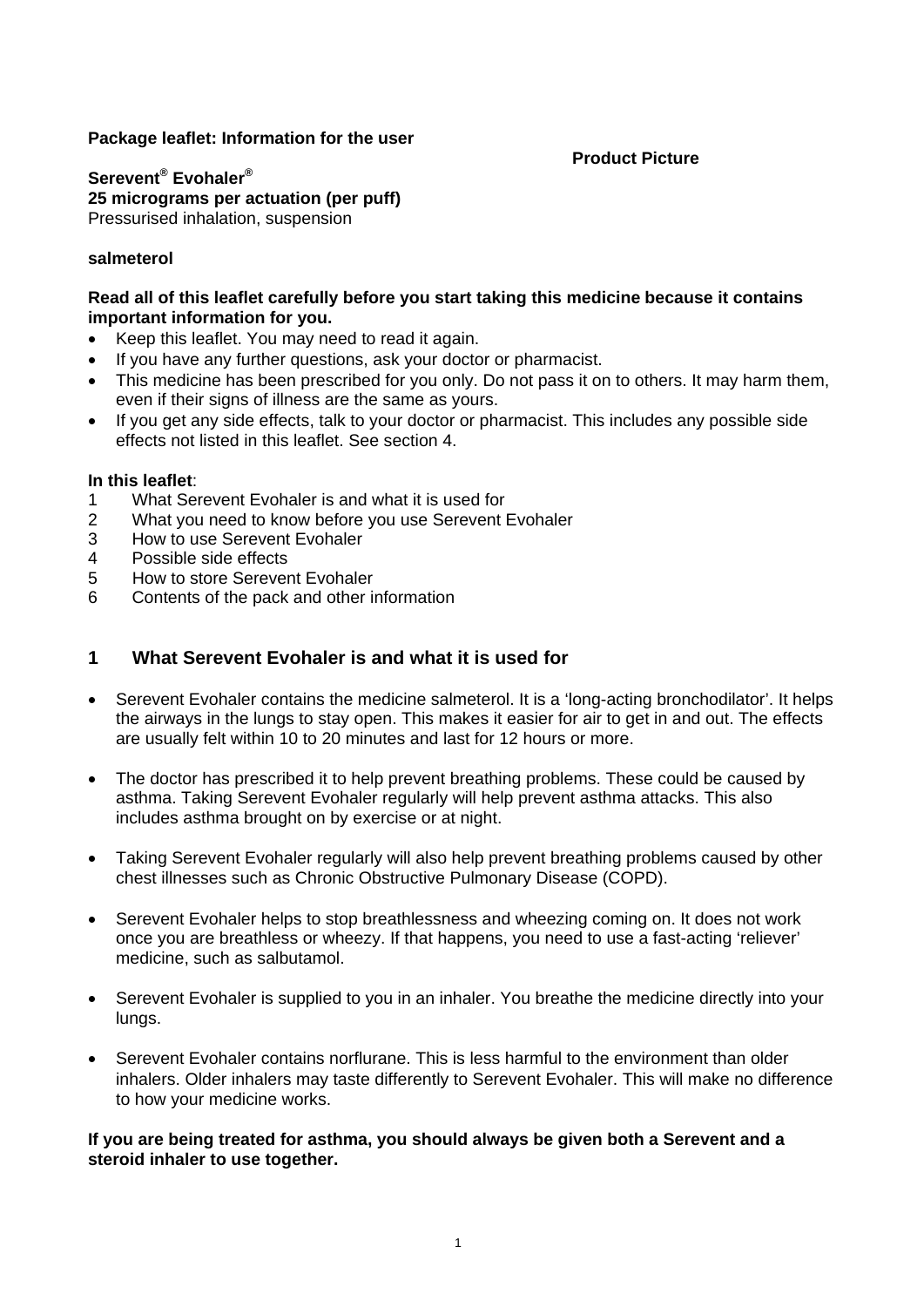## **Package leaflet: Information for the user**

#### **Product Picture**

**Serevent® Evohaler® 25 micrograms per actuation (per puff)**  Pressurised inhalation, suspension

## **salmeterol**

### **Read all of this leaflet carefully before you start taking this medicine because it contains important information for you.**

- Keep this leaflet. You may need to read it again.
- If you have any further questions, ask your doctor or pharmacist.
- This medicine has been prescribed for you only. Do not pass it on to others. It may harm them, even if their signs of illness are the same as yours.
- If you get any side effects, talk to your doctor or pharmacist. This includes any possible side effects not listed in this leaflet. See section 4.

#### **In this leaflet**:

- 1 What Serevent Evohaler is and what it is used for
- 2 What you need to know before you use Serevent Evohaler
- 3 How to use Serevent Evohaler
- 4 Possible side effects
- 5 How to store Serevent Evohaler
- 6 Contents of the pack and other information

## **1 What Serevent Evohaler is and what it is used for**

- Serevent Evohaler contains the medicine salmeterol. It is a 'long-acting bronchodilator'. It helps the airways in the lungs to stay open. This makes it easier for air to get in and out. The effects are usually felt within 10 to 20 minutes and last for 12 hours or more.
- The doctor has prescribed it to help prevent breathing problems. These could be caused by asthma. Taking Serevent Evohaler regularly will help prevent asthma attacks. This also includes asthma brought on by exercise or at night.
- Taking Serevent Evohaler regularly will also help prevent breathing problems caused by other chest illnesses such as Chronic Obstructive Pulmonary Disease (COPD).
- Serevent Evohaler helps to stop breathlessness and wheezing coming on. It does not work once you are breathless or wheezy. If that happens, you need to use a fast-acting 'reliever' medicine, such as salbutamol.
- Serevent Evohaler is supplied to you in an inhaler. You breathe the medicine directly into your lungs.
- Serevent Evohaler contains norflurane. This is less harmful to the environment than older inhalers. Older inhalers may taste differently to Serevent Evohaler. This will make no difference to how your medicine works.

**If you are being treated for asthma, you should always be given both a Serevent and a steroid inhaler to use together.**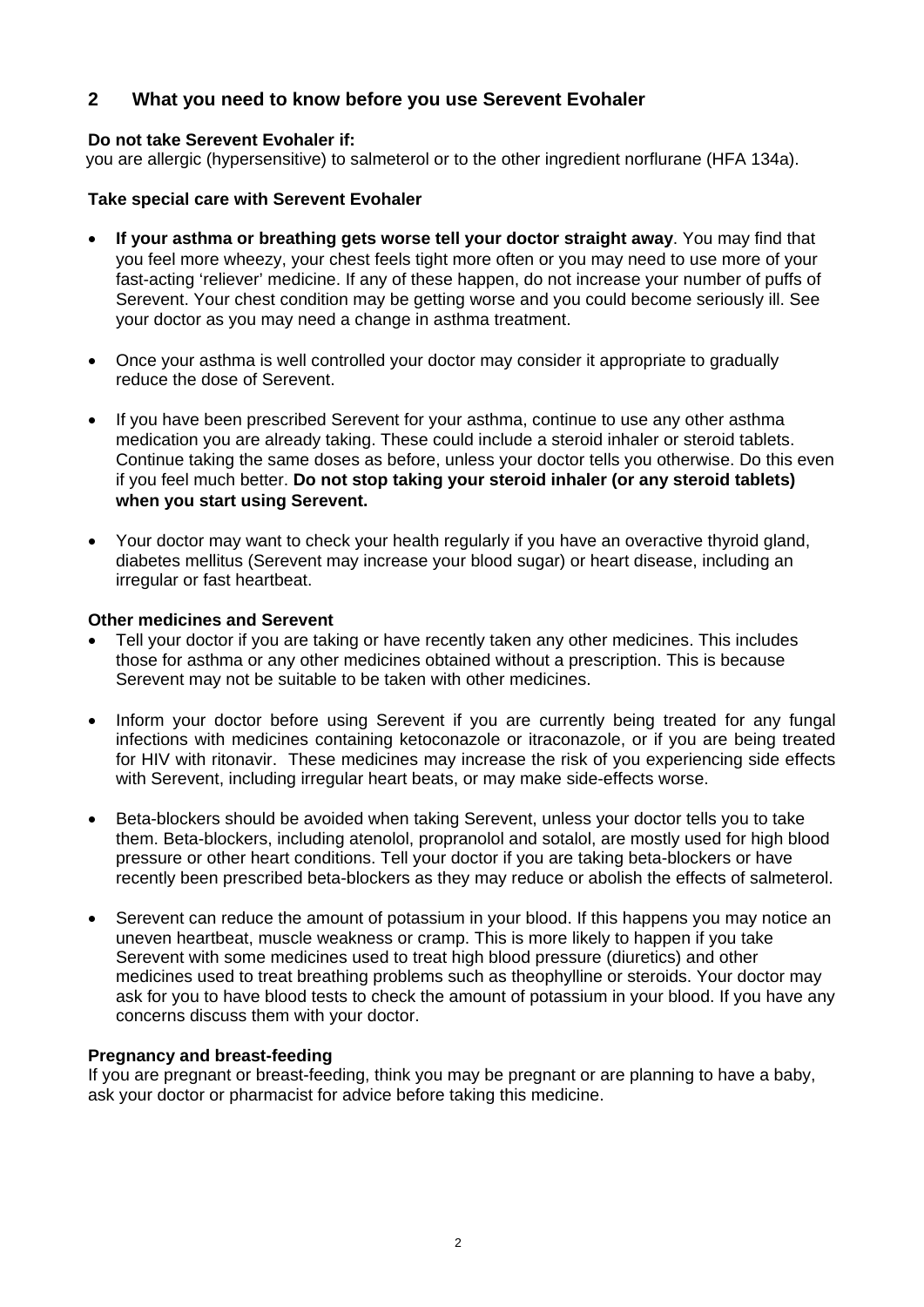# **2 What you need to know before you use Serevent Evohaler**

## **Do not take Serevent Evohaler if:**

you are allergic (hypersensitive) to salmeterol or to the other ingredient norflurane (HFA 134a).

### **Take special care with Serevent Evohaler**

- **If your asthma or breathing gets worse tell your doctor straight away**. You may find that you feel more wheezy, your chest feels tight more often or you may need to use more of your fast-acting 'reliever' medicine. If any of these happen, do not increase your number of puffs of Serevent. Your chest condition may be getting worse and you could become seriously ill. See your doctor as you may need a change in asthma treatment.
- Once your asthma is well controlled your doctor may consider it appropriate to gradually reduce the dose of Serevent.
- If you have been prescribed Serevent for your asthma, continue to use any other asthma medication you are already taking. These could include a steroid inhaler or steroid tablets. Continue taking the same doses as before, unless your doctor tells you otherwise. Do this even if you feel much better. **Do not stop taking your steroid inhaler (or any steroid tablets) when you start using Serevent.**
- Your doctor may want to check your health regularly if you have an overactive thyroid gland, diabetes mellitus (Serevent may increase your blood sugar) or heart disease, including an irregular or fast heartbeat.

### **Other medicines and Serevent**

- Tell your doctor if you are taking or have recently taken any other medicines. This includes those for asthma or any other medicines obtained without a prescription. This is because Serevent may not be suitable to be taken with other medicines.
- Inform your doctor before using Serevent if you are currently being treated for any fungal infections with medicines containing ketoconazole or itraconazole, or if you are being treated for HIV with ritonavir. These medicines may increase the risk of you experiencing side effects with Serevent, including irregular heart beats, or may make side-effects worse.
- Beta-blockers should be avoided when taking Serevent, unless your doctor tells you to take them. Beta-blockers, including atenolol, propranolol and sotalol, are mostly used for high blood pressure or other heart conditions. Tell your doctor if you are taking beta-blockers or have recently been prescribed beta-blockers as they may reduce or abolish the effects of salmeterol.
- Serevent can reduce the amount of potassium in your blood. If this happens you may notice an uneven heartbeat, muscle weakness or cramp. This is more likely to happen if you take Serevent with some medicines used to treat high blood pressure (diuretics) and other medicines used to treat breathing problems such as theophylline or steroids. Your doctor may ask for you to have blood tests to check the amount of potassium in your blood. If you have any concerns discuss them with your doctor.

## **Pregnancy and breast-feeding**

If you are pregnant or breast-feeding, think you may be pregnant or are planning to have a baby, ask your doctor or pharmacist for advice before taking this medicine.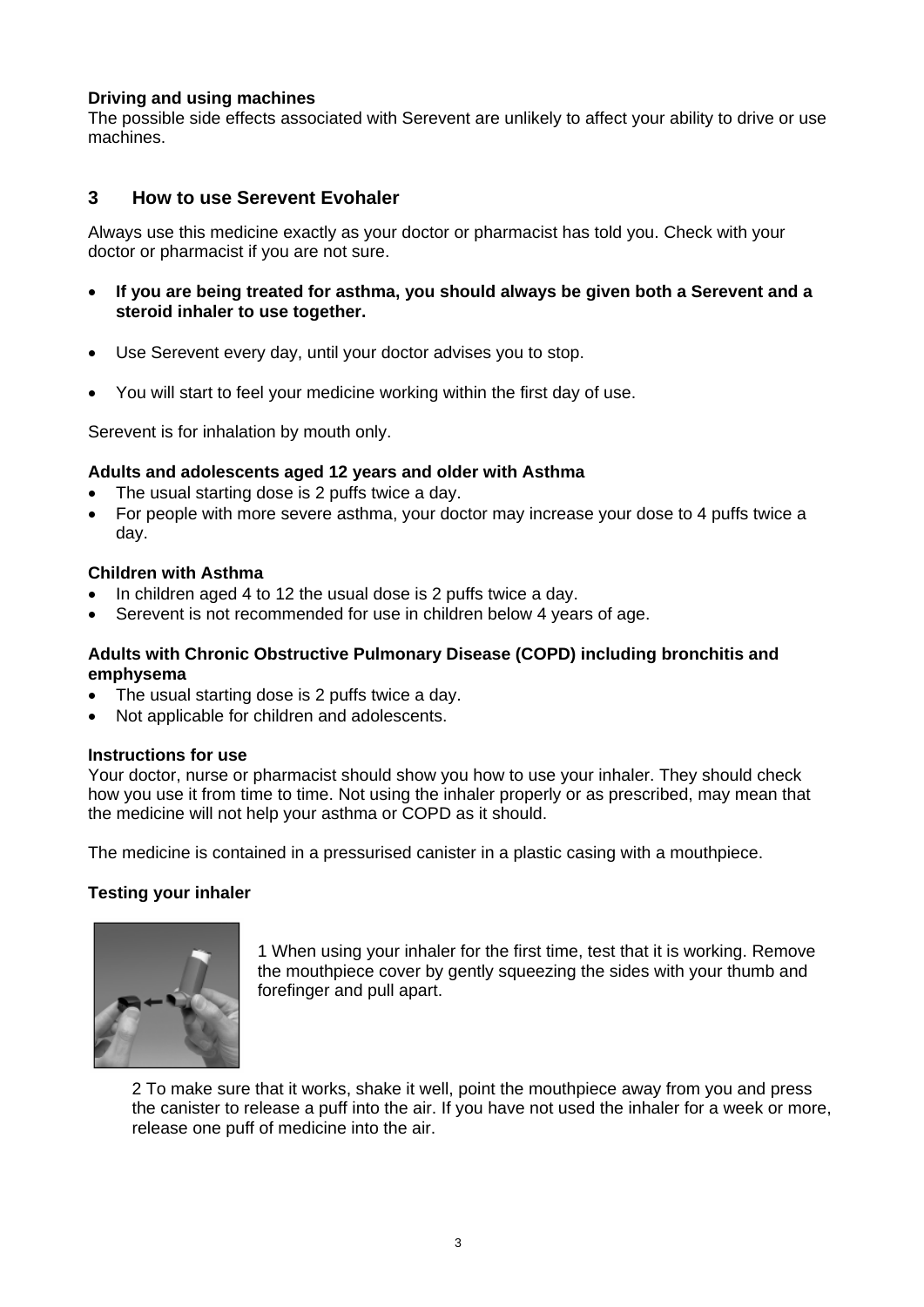## **Driving and using machines**

The possible side effects associated with Serevent are unlikely to affect your ability to drive or use machines.

## **3 How to use Serevent Evohaler**

Always use this medicine exactly as your doctor or pharmacist has told you. Check with your doctor or pharmacist if you are not sure.

- **If you are being treated for asthma, you should always be given both a Serevent and a steroid inhaler to use together.**
- Use Serevent every day, until your doctor advises you to stop.
- You will start to feel your medicine working within the first day of use.

Serevent is for inhalation by mouth only.

#### **Adults and adolescents aged 12 years and older with Asthma**

- The usual starting dose is 2 puffs twice a day.
- For people with more severe asthma, your doctor may increase your dose to 4 puffs twice a day.

## **Children with Asthma**

- In children aged 4 to 12 the usual dose is 2 puffs twice a day.
- Serevent is not recommended for use in children below 4 years of age.

## **Adults with Chronic Obstructive Pulmonary Disease (COPD) including bronchitis and emphysema**

- The usual starting dose is 2 puffs twice a day.
- Not applicable for children and adolescents.

#### **Instructions for use**

Your doctor, nurse or pharmacist should show you how to use your inhaler. They should check how you use it from time to time. Not using the inhaler properly or as prescribed, may mean that the medicine will not help your asthma or COPD as it should.

The medicine is contained in a pressurised canister in a plastic casing with a mouthpiece.

## **Testing your inhaler**



1 When using your inhaler for the first time, test that it is working. Remove the mouthpiece cover by gently squeezing the sides with your thumb and forefinger and pull apart.

2 To make sure that it works, shake it well, point the mouthpiece away from you and press the canister to release a puff into the air. If you have not used the inhaler for a week or more, release one puff of medicine into the air.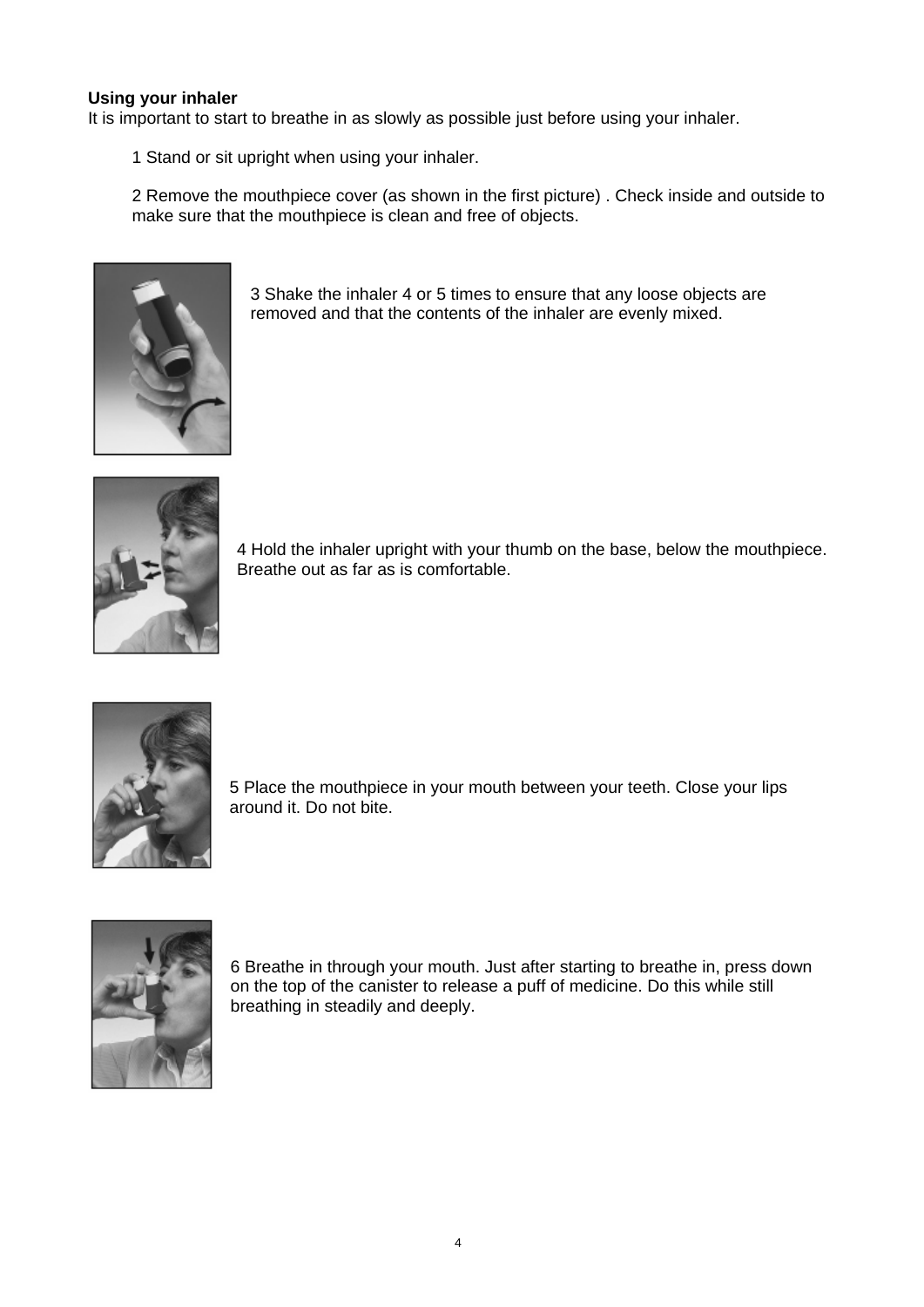## **Using your inhaler**

It is important to start to breathe in as slowly as possible just before using your inhaler.

1 Stand or sit upright when using your inhaler.

2 Remove the mouthpiece cover (as shown in the first picture) . Check inside and outside to make sure that the mouthpiece is clean and free of objects.



3 Shake the inhaler 4 or 5 times to ensure that any loose objects are removed and that the contents of the inhaler are evenly mixed.



4 Hold the inhaler upright with your thumb on the base, below the mouthpiece. Breathe out as far as is comfortable.



5 Place the mouthpiece in your mouth between your teeth. Close your lips around it. Do not bite.



breathing in steadily and deeply. 6 Breathe in through your mouth. Just after starting to breathe in, press down on the top of the canister to release a puff of medicine. Do this while still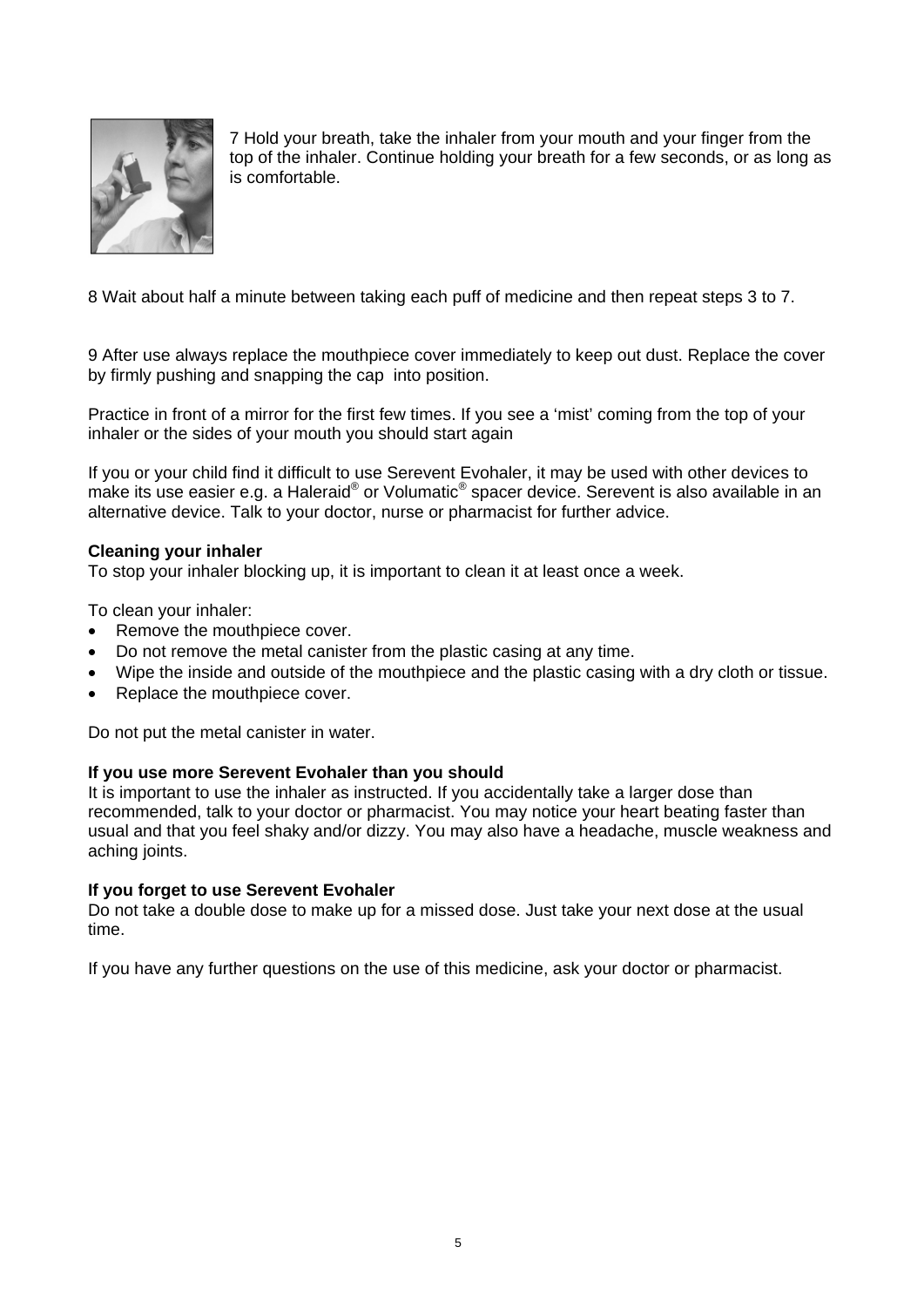

7 Hold your breath, take the inhaler from your mouth and your finger from the top of the inhaler. Continue holding your breath for a few seconds, or as long as is comfortable.

8 Wait about half a minute between taking each puff of medicine and then repeat steps 3 to 7.

9 After use always replace the mouthpiece cover immediately to keep out dust. Replace the cover by firmly pushing and snapping the cap into position.

Practice in front of a mirror for the first few times. If you see a 'mist' coming from the top of your inhaler or the sides of your mouth you should start again

If you or your child find it difficult to use Serevent Evohaler, it may be used with other devices to make its use easier e.g. a Haleraid® or Volumatic® spacer device. Serevent is also available in an alternative device. Talk to your doctor, nurse or pharmacist for further advice.

#### **Cleaning your inhaler**

To stop your inhaler blocking up, it is important to clean it at least once a week.

To clean your inhaler:

- Remove the mouthpiece cover.
- Do not remove the metal canister from the plastic casing at any time.
- Wipe the inside and outside of the mouthpiece and the plastic casing with a dry cloth or tissue.
- Replace the mouthpiece cover.

Do not put the metal canister in water.

#### **If you use more Serevent Evohaler than you should**

It is important to use the inhaler as instructed. If you accidentally take a larger dose than recommended, talk to your doctor or pharmacist. You may notice your heart beating faster than usual and that you feel shaky and/or dizzy. You may also have a headache, muscle weakness and aching joints.

#### **If you forget to use Serevent Evohaler**

Do not take a double dose to make up for a missed dose. Just take your next dose at the usual time.

If you have any further questions on the use of this medicine, ask your doctor or pharmacist.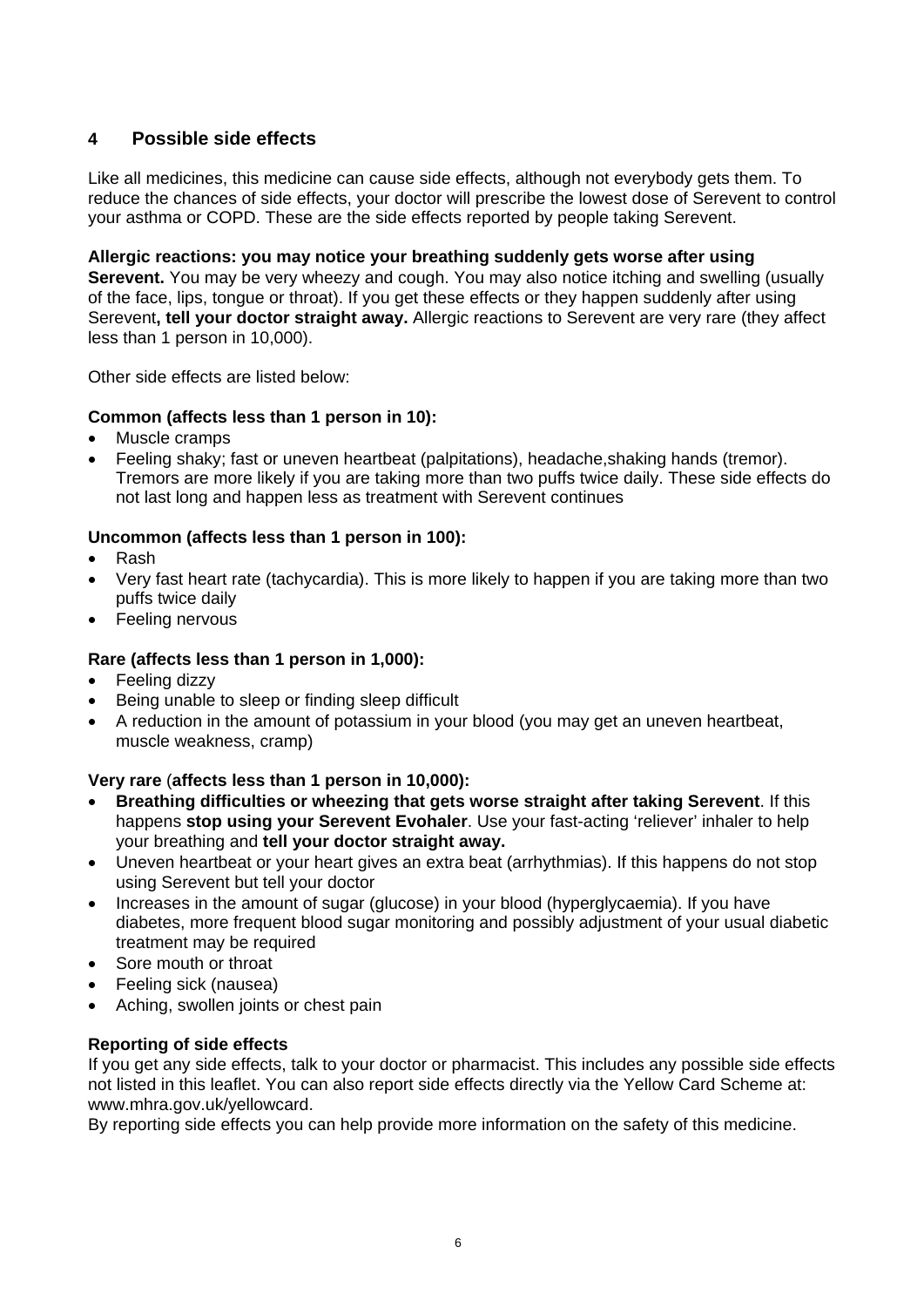# **4 Possible side effects**

Like all medicines, this medicine can cause side effects, although not everybody gets them. To reduce the chances of side effects, your doctor will prescribe the lowest dose of Serevent to control your asthma or COPD. These are the side effects reported by people taking Serevent.

**Allergic reactions: you may notice your breathing suddenly gets worse after using Serevent.** You may be very wheezy and cough. You may also notice itching and swelling (usually of the face, lips, tongue or throat). If you get these effects or they happen suddenly after using Serevent**, tell your doctor straight away.** Allergic reactions to Serevent are very rare (they affect less than 1 person in 10,000).

Other side effects are listed below:

## **Common (affects less than 1 person in 10):**

- Muscle cramps
- Feeling shaky; fast or uneven heartbeat (palpitations), headache,shaking hands (tremor). Tremors are more likely if you are taking more than two puffs twice daily. These side effects do not last long and happen less as treatment with Serevent continues

## **Uncommon (affects less than 1 person in 100):**

- Rash
- Very fast heart rate (tachycardia). This is more likely to happen if you are taking more than two puffs twice daily
- Feeling nervous

# **Rare (affects less than 1 person in 1,000):**

- Feeling dizzy
- Being unable to sleep or finding sleep difficult
- A reduction in the amount of potassium in your blood (you may get an uneven heartbeat, muscle weakness, cramp)

# **Very rare** (**affects less than 1 person in 10,000):**

- **Breathing difficulties or wheezing that gets worse straight after taking Serevent**. If this happens **stop using your Serevent Evohaler**. Use your fast-acting 'reliever' inhaler to help your breathing and **tell your doctor straight away.**
- Uneven heartbeat or your heart gives an extra beat (arrhythmias). If this happens do not stop using Serevent but tell your doctor
- Increases in the amount of sugar (glucose) in your blood (hyperglycaemia). If you have diabetes, more frequent blood sugar monitoring and possibly adjustment of your usual diabetic treatment may be required
- Sore mouth or throat
- Feeling sick (nausea)
- Aching, swollen joints or chest pain

## **Reporting of side effects**

If you get any side effects, talk to your doctor or pharmacist. This includes any possible side effects not listed in this leaflet. You can also report side effects directly via the Yellow Card Scheme at: www.mhra.gov.uk/yellowcard.

By reporting side effects you can help provide more information on the safety of this medicine.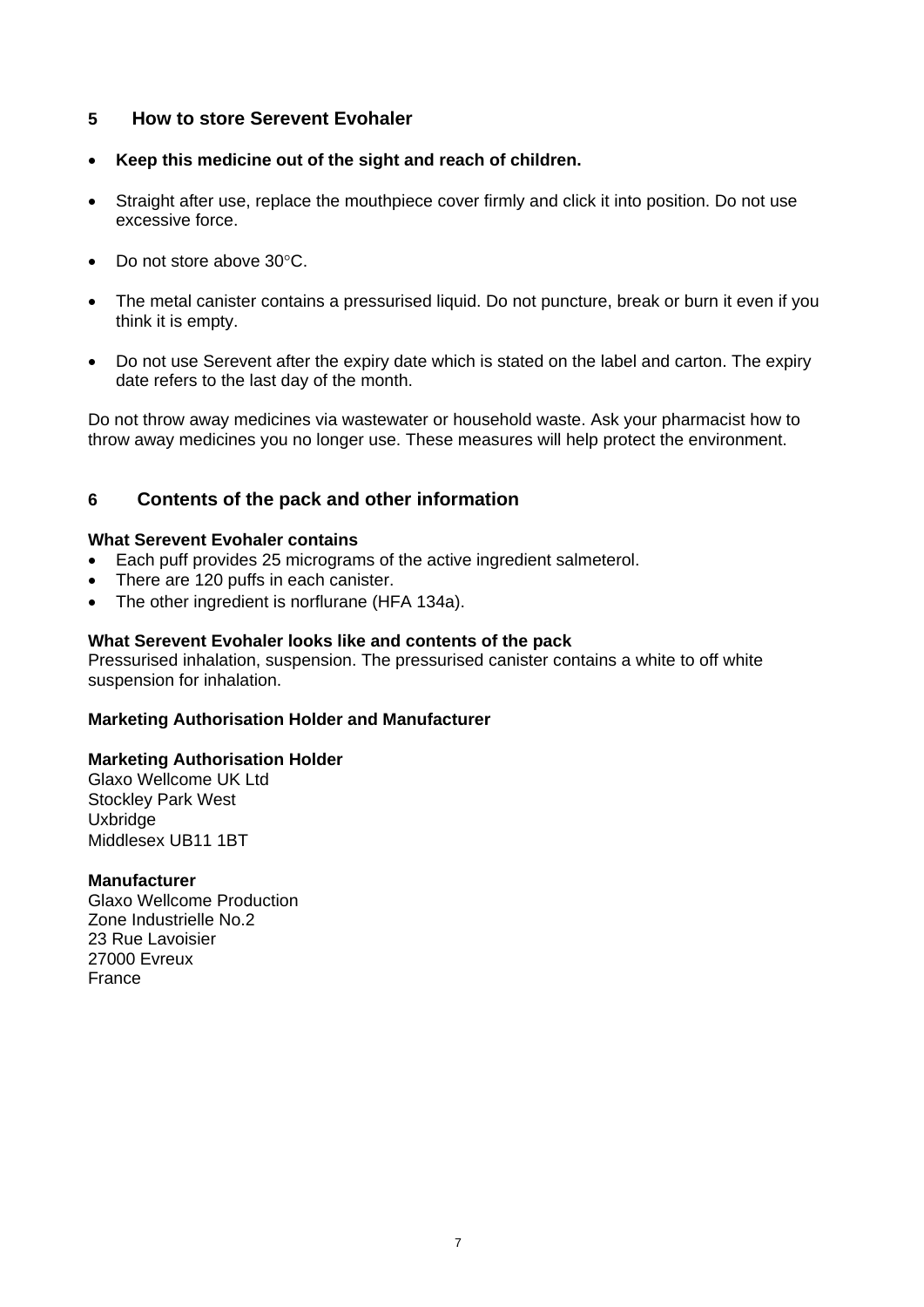## **5 How to store Serevent Evohaler**

- **Keep this medicine out of the sight and reach of children.**
- Straight after use, replace the mouthpiece cover firmly and click it into position. Do not use excessive force.
- Do not store above 30°C.
- The metal canister contains a pressurised liquid. Do not puncture, break or burn it even if you think it is empty.
- Do not use Serevent after the expiry date which is stated on the label and carton. The expiry date refers to the last day of the month.

Do not throw away medicines via wastewater or household waste. Ask your pharmacist how to throw away medicines you no longer use. These measures will help protect the environment.

# **6 Contents of the pack and other information**

## **What Serevent Evohaler contains**

- Each puff provides 25 micrograms of the active ingredient salmeterol.
- There are 120 puffs in each canister.
- The other ingredient is norflurane (HFA 134a).

#### **What Serevent Evohaler looks like and contents of the pack**

Pressurised inhalation, suspension. The pressurised canister contains a white to off white suspension for inhalation.

## **Marketing Authorisation Holder and Manufacturer**

#### **Marketing Authorisation Holder**

Glaxo Wellcome UK Ltd Stockley Park West **Uxbridge** Middlesex UB11 1BT

#### **Manufacturer**

Glaxo Wellcome Production Zone Industrielle No.2 23 Rue Lavoisier 27000 Evreux France